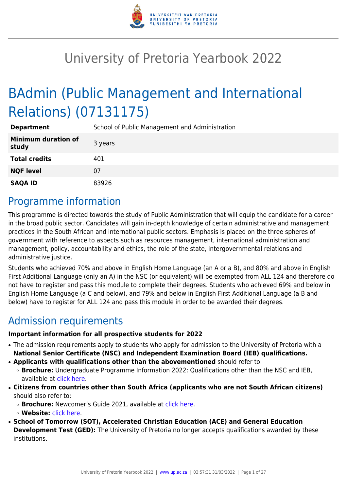

# University of Pretoria Yearbook 2022

# BAdmin (Public Management and International Relations) (07131175)

| <b>Department</b>                   | School of Public Management and Administration |
|-------------------------------------|------------------------------------------------|
| <b>Minimum duration of</b><br>study | 3 years                                        |
| <b>Total credits</b>                | 401                                            |
| <b>NQF level</b>                    | 07                                             |
| <b>SAQA ID</b>                      | 83926                                          |

## Programme information

This programme is directed towards the study of Public Administration that will equip the candidate for a career in the broad public sector. Candidates will gain in-depth knowledge of certain administrative and management practices in the South African and international public sectors. Emphasis is placed on the three spheres of government with reference to aspects such as resources management, international administration and management, policy, accountability and ethics, the role of the state, intergovernmental relations and administrative justice.

Students who achieved 70% and above in English Home Language (an A or a B), and 80% and above in English First Additional Language (only an A) in the NSC (or equivalent) will be exempted from ALL 124 and therefore do not have to register and pass this module to complete their degrees. Students who achieved 69% and below in English Home Language (a C and below), and 79% and below in English First Additional Language (a B and below) have to register for ALL 124 and pass this module in order to be awarded their degrees.

## Admission requirements

## **Important information for all prospective students for 2022**

- The admission requirements apply to students who apply for admission to the University of Pretoria with a **National Senior Certificate (NSC) and Independent Examination Board (IEB) qualifications.**
- **Applicants with qualifications other than the abovementioned** should refer to:
	- ❍ **Brochure:** Undergraduate Programme Information 2022: Qualifications other than the NSC and IEB, available at [click here.](https://www.up.ac.za/students/article/2749263/admission-information)
- **Citizens from countries other than South Africa (applicants who are not South African citizens)** should also refer to:
	- ❍ **Brochure:** Newcomer's Guide 2021, available at [click here.](https://www.up.ac.za/students/article/2749263/admission-information)
	- ❍ **Website:** [click here](http://www.up.ac.za/international-cooperation-division).
- **School of Tomorrow (SOT), Accelerated Christian Education (ACE) and General Education Development Test (GED):** The University of Pretoria no longer accepts qualifications awarded by these institutions.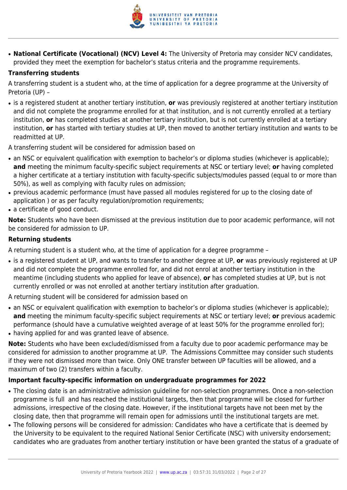

● **National Certificate (Vocational) (NCV) Level 4:** The University of Pretoria may consider NCV candidates, provided they meet the exemption for bachelor's status criteria and the programme requirements.

## **Transferring students**

A transferring student is a student who, at the time of application for a degree programme at the University of Pretoria (UP) –

● is a registered student at another tertiary institution, **or** was previously registered at another tertiary institution and did not complete the programme enrolled for at that institution, and is not currently enrolled at a tertiary institution, **or** has completed studies at another tertiary institution, but is not currently enrolled at a tertiary institution, **or** has started with tertiary studies at UP, then moved to another tertiary institution and wants to be readmitted at UP.

A transferring student will be considered for admission based on

- an NSC or equivalent qualification with exemption to bachelor's or diploma studies (whichever is applicable); **and** meeting the minimum faculty-specific subject requirements at NSC or tertiary level; **or** having completed a higher certificate at a tertiary institution with faculty-specific subjects/modules passed (equal to or more than 50%), as well as complying with faculty rules on admission;
- previous academic performance (must have passed all modules registered for up to the closing date of application ) or as per faculty regulation/promotion requirements;
- a certificate of good conduct.

**Note:** Students who have been dismissed at the previous institution due to poor academic performance, will not be considered for admission to UP.

## **Returning students**

A returning student is a student who, at the time of application for a degree programme –

● is a registered student at UP, and wants to transfer to another degree at UP, **or** was previously registered at UP and did not complete the programme enrolled for, and did not enrol at another tertiary institution in the meantime (including students who applied for leave of absence), **or** has completed studies at UP, but is not currently enrolled or was not enrolled at another tertiary institution after graduation.

A returning student will be considered for admission based on

- an NSC or equivalent qualification with exemption to bachelor's or diploma studies (whichever is applicable); **and** meeting the minimum faculty-specific subject requirements at NSC or tertiary level; **or** previous academic performance (should have a cumulative weighted average of at least 50% for the programme enrolled for);
- having applied for and was granted leave of absence.

**Note:** Students who have been excluded/dismissed from a faculty due to poor academic performance may be considered for admission to another programme at UP. The Admissions Committee may consider such students if they were not dismissed more than twice. Only ONE transfer between UP faculties will be allowed, and a maximum of two (2) transfers within a faculty.

## **Important faculty-specific information on undergraduate programmes for 2022**

- The closing date is an administrative admission guideline for non-selection programmes. Once a non-selection programme is full and has reached the institutional targets, then that programme will be closed for further admissions, irrespective of the closing date. However, if the institutional targets have not been met by the closing date, then that programme will remain open for admissions until the institutional targets are met.
- The following persons will be considered for admission: Candidates who have a certificate that is deemed by the University to be equivalent to the required National Senior Certificate (NSC) with university endorsement; candidates who are graduates from another tertiary institution or have been granted the status of a graduate of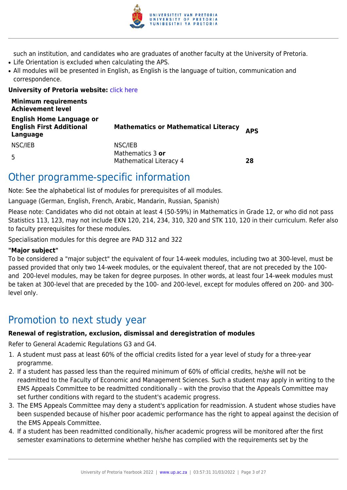

such an institution, and candidates who are graduates of another faculty at the University of Pretoria.

- Life Orientation is excluded when calculating the APS.
- All modules will be presented in English, as English is the language of tuition, communication and correspondence.

## **University of Pretoria website: [click here](http://www.up.ac.za/ems)**

| <b>Minimum requirements</b><br><b>Achievement level</b>                        |                                             |            |
|--------------------------------------------------------------------------------|---------------------------------------------|------------|
| <b>English Home Language or</b><br><b>English First Additional</b><br>Language | <b>Mathematics or Mathematical Literacy</b> | <b>APS</b> |
| NSC/IEB                                                                        | NSC/IEB                                     |            |
| 5                                                                              | Mathematics 3 or<br>Mathematical Literacy 4 | 28         |

## Other programme-specific information

Note: See the alphabetical list of modules for prerequisites of all modules.

Language (German, English, French, Arabic, Mandarin, Russian, Spanish)

Please note: Candidates who did not obtain at least 4 (50-59%) in Mathematics in Grade 12, or who did not pass Statistics 113, 123, may not include EKN 120, 214, 234, 310, 320 and STK 110, 120 in their curriculum. Refer also to faculty prerequisites for these modules.

Specialisation modules for this degree are PAD 312 and 322

## **"Major subject"**

To be considered a "major subject" the equivalent of four 14-week modules, including two at 300-level, must be passed provided that only two 14-week modules, or the equivalent thereof, that are not preceded by the 100 and 200-level modules, may be taken for degree purposes. In other words, at least four 14-week modules must be taken at 300-level that are preceded by the 100- and 200-level, except for modules offered on 200- and 300 level only.

## Promotion to next study year

## **Renewal of registration, exclusion, dismissal and deregistration of modules**

Refer to General Academic Regulations G3 and G4.

- 1. A student must pass at least 60% of the official credits listed for a year level of study for a three-year programme.
- 2. If a student has passed less than the required minimum of 60% of official credits, he/she will not be readmitted to the Faculty of Economic and Management Sciences. Such a student may apply in writing to the EMS Appeals Committee to be readmitted conditionally – with the proviso that the Appeals Committee may set further conditions with regard to the student's academic progress.
- 3. The EMS Appeals Committee may deny a student's application for readmission. A student whose studies have been suspended because of his/her poor academic performance has the right to appeal against the decision of the EMS Appeals Committee.
- 4. If a student has been readmitted conditionally, his/her academic progress will be monitored after the first semester examinations to determine whether he/she has complied with the requirements set by the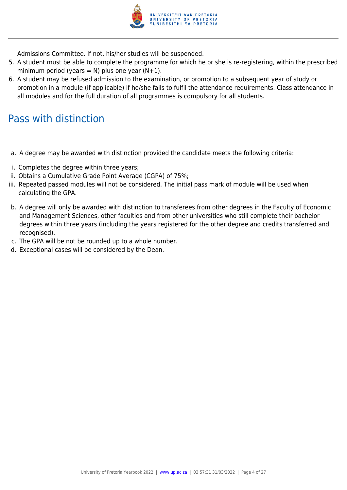

Admissions Committee. If not, his/her studies will be suspended.

- 5. A student must be able to complete the programme for which he or she is re-registering, within the prescribed minimum period (years = N) plus one year  $(N+1)$ .
- 6. A student may be refused admission to the examination, or promotion to a subsequent year of study or promotion in a module (if applicable) if he/she fails to fulfil the attendance requirements. Class attendance in all modules and for the full duration of all programmes is compulsory for all students.

## Pass with distinction

- a. A degree may be awarded with distinction provided the candidate meets the following criteria:
- i. Completes the degree within three years;
- ii. Obtains a Cumulative Grade Point Average (CGPA) of 75%;
- iii. Repeated passed modules will not be considered. The initial pass mark of module will be used when calculating the GPA.
- b. A degree will only be awarded with distinction to transferees from other degrees in the Faculty of Economic and Management Sciences, other faculties and from other universities who still complete their bachelor degrees within three years (including the years registered for the other degree and credits transferred and recognised).
- c. The GPA will be not be rounded up to a whole number.
- d. Exceptional cases will be considered by the Dean.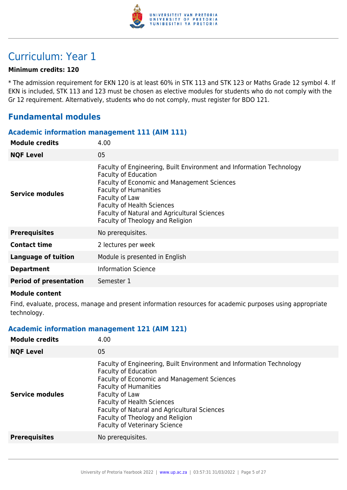

## Curriculum: Year 1

## **Minimum credits: 120**

\* The admission requirement for EKN 120 is at least 60% in STK 113 and STK 123 or Maths Grade 12 symbol 4. If EKN is included, STK 113 and 123 must be chosen as elective modules for students who do not comply with the Gr 12 requirement. Alternatively, students who do not comply, must register for BDO 121.

## **Fundamental modules**

## **Academic information management 111 (AIM 111)**

| <b>Module credits</b>         | 4.00                                                                                                                                                                                                                                                                                                                                 |
|-------------------------------|--------------------------------------------------------------------------------------------------------------------------------------------------------------------------------------------------------------------------------------------------------------------------------------------------------------------------------------|
| <b>NQF Level</b>              | 05                                                                                                                                                                                                                                                                                                                                   |
| <b>Service modules</b>        | Faculty of Engineering, Built Environment and Information Technology<br><b>Faculty of Education</b><br><b>Faculty of Economic and Management Sciences</b><br><b>Faculty of Humanities</b><br>Faculty of Law<br><b>Faculty of Health Sciences</b><br>Faculty of Natural and Agricultural Sciences<br>Faculty of Theology and Religion |
| <b>Prerequisites</b>          | No prerequisites.                                                                                                                                                                                                                                                                                                                    |
| <b>Contact time</b>           | 2 lectures per week                                                                                                                                                                                                                                                                                                                  |
| <b>Language of tuition</b>    | Module is presented in English                                                                                                                                                                                                                                                                                                       |
| <b>Department</b>             | <b>Information Science</b>                                                                                                                                                                                                                                                                                                           |
| <b>Period of presentation</b> | Semester 1                                                                                                                                                                                                                                                                                                                           |
|                               |                                                                                                                                                                                                                                                                                                                                      |

#### **Module content**

Find, evaluate, process, manage and present information resources for academic purposes using appropriate technology.

## **Academic information management 121 (AIM 121)**

| <b>Module credits</b>  | 4.00                                                                                                                                                                                                                                                                                                                                                                         |
|------------------------|------------------------------------------------------------------------------------------------------------------------------------------------------------------------------------------------------------------------------------------------------------------------------------------------------------------------------------------------------------------------------|
| <b>NQF Level</b>       | 05                                                                                                                                                                                                                                                                                                                                                                           |
| <b>Service modules</b> | Faculty of Engineering, Built Environment and Information Technology<br><b>Faculty of Education</b><br><b>Faculty of Economic and Management Sciences</b><br><b>Faculty of Humanities</b><br>Faculty of Law<br><b>Faculty of Health Sciences</b><br>Faculty of Natural and Agricultural Sciences<br>Faculty of Theology and Religion<br><b>Faculty of Veterinary Science</b> |
| <b>Prerequisites</b>   | No prerequisites.                                                                                                                                                                                                                                                                                                                                                            |
|                        |                                                                                                                                                                                                                                                                                                                                                                              |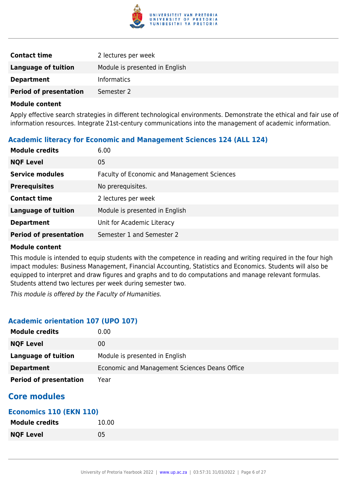

| <b>Contact time</b>           | 2 lectures per week            |
|-------------------------------|--------------------------------|
| Language of tuition           | Module is presented in English |
| <b>Department</b>             | <b>Informatics</b>             |
| <b>Period of presentation</b> | Semester 2                     |

Apply effective search strategies in different technological environments. Demonstrate the ethical and fair use of information resources. Integrate 21st-century communications into the management of academic information.

## **Academic literacy for Economic and Management Sciences 124 (ALL 124)**

| <b>Module credits</b>         | 6.00                                        |
|-------------------------------|---------------------------------------------|
| <b>NQF Level</b>              | 05                                          |
| <b>Service modules</b>        | Faculty of Economic and Management Sciences |
| <b>Prerequisites</b>          | No prerequisites.                           |
| <b>Contact time</b>           | 2 lectures per week                         |
| <b>Language of tuition</b>    | Module is presented in English              |
| <b>Department</b>             | Unit for Academic Literacy                  |
| <b>Period of presentation</b> | Semester 1 and Semester 2                   |

## **Module content**

This module is intended to equip students with the competence in reading and writing required in the four high impact modules: Business Management, Financial Accounting, Statistics and Economics. Students will also be equipped to interpret and draw figures and graphs and to do computations and manage relevant formulas. Students attend two lectures per week during semester two.

This module is offered by the Faculty of Humanities.

## **Academic orientation 107 (UPO 107)**

| <b>Module credits</b>         | 0.00                                          |
|-------------------------------|-----------------------------------------------|
| <b>NQF Level</b>              | 00                                            |
| Language of tuition           | Module is presented in English                |
| <b>Department</b>             | Economic and Management Sciences Deans Office |
| <b>Period of presentation</b> | Year                                          |

## **Core modules**

## **Economics 110 (EKN 110)**

| <b>Module credits</b> | 10.00 |
|-----------------------|-------|
| <b>NQF Level</b>      | 05    |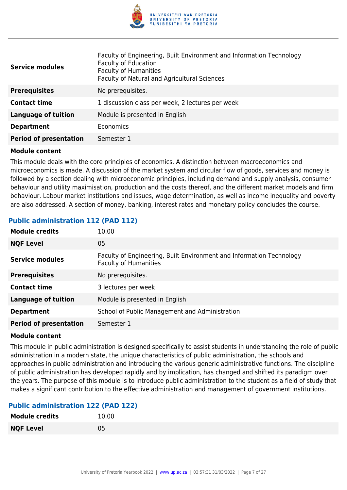

| <b>Service modules</b>        | Faculty of Engineering, Built Environment and Information Technology<br><b>Faculty of Education</b><br><b>Faculty of Humanities</b><br>Faculty of Natural and Agricultural Sciences |
|-------------------------------|-------------------------------------------------------------------------------------------------------------------------------------------------------------------------------------|
| <b>Prerequisites</b>          | No prerequisites.                                                                                                                                                                   |
| <b>Contact time</b>           | 1 discussion class per week, 2 lectures per week                                                                                                                                    |
| <b>Language of tuition</b>    | Module is presented in English                                                                                                                                                      |
| <b>Department</b>             | Economics                                                                                                                                                                           |
| <b>Period of presentation</b> | Semester 1                                                                                                                                                                          |

This module deals with the core principles of economics. A distinction between macroeconomics and microeconomics is made. A discussion of the market system and circular flow of goods, services and money is followed by a section dealing with microeconomic principles, including demand and supply analysis, consumer behaviour and utility maximisation, production and the costs thereof, and the different market models and firm behaviour. Labour market institutions and issues, wage determination, as well as income inequality and poverty are also addressed. A section of money, banking, interest rates and monetary policy concludes the course.

## **Public administration 112 (PAD 112)**

| <b>Module credits</b>         | 10.00                                                                                                |
|-------------------------------|------------------------------------------------------------------------------------------------------|
| <b>NQF Level</b>              | 05                                                                                                   |
| <b>Service modules</b>        | Faculty of Engineering, Built Environment and Information Technology<br><b>Faculty of Humanities</b> |
| <b>Prerequisites</b>          | No prerequisites.                                                                                    |
| <b>Contact time</b>           | 3 lectures per week                                                                                  |
| <b>Language of tuition</b>    | Module is presented in English                                                                       |
| <b>Department</b>             | School of Public Management and Administration                                                       |
| <b>Period of presentation</b> | Semester 1                                                                                           |

#### **Module content**

This module in public administration is designed specifically to assist students in understanding the role of public administration in a modern state, the unique characteristics of public administration, the schools and approaches in public administration and introducing the various generic administrative functions. The discipline of public administration has developed rapidly and by implication, has changed and shifted its paradigm over the years. The purpose of this module is to introduce public administration to the student as a field of study that makes a significant contribution to the effective administration and management of government institutions.

## **Public administration 122 (PAD 122)**

| <b>Module credits</b> | 10.00 |
|-----------------------|-------|
| <b>NQF Level</b>      | 05    |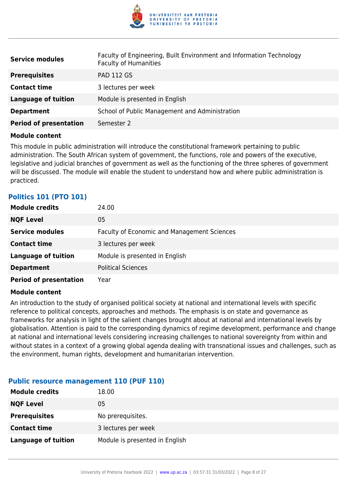

| <b>Service modules</b>        | Faculty of Engineering, Built Environment and Information Technology<br><b>Faculty of Humanities</b> |
|-------------------------------|------------------------------------------------------------------------------------------------------|
| <b>Prerequisites</b>          | <b>PAD 112 GS</b>                                                                                    |
| <b>Contact time</b>           | 3 lectures per week                                                                                  |
| <b>Language of tuition</b>    | Module is presented in English                                                                       |
| <b>Department</b>             | School of Public Management and Administration                                                       |
| <b>Period of presentation</b> | Semester 2                                                                                           |

This module in public administration will introduce the constitutional framework pertaining to public administration. The South African system of government, the functions, role and powers of the executive, legislative and judicial branches of government as well as the functioning of the three spheres of government will be discussed. The module will enable the student to understand how and where public administration is practiced.

## **Politics 101 (PTO 101)**

| <b>Module credits</b>         | 24.00                                              |
|-------------------------------|----------------------------------------------------|
| <b>NQF Level</b>              | 05                                                 |
| <b>Service modules</b>        | <b>Faculty of Economic and Management Sciences</b> |
| <b>Contact time</b>           | 3 lectures per week                                |
| <b>Language of tuition</b>    | Module is presented in English                     |
| <b>Department</b>             | <b>Political Sciences</b>                          |
| <b>Period of presentation</b> | Year                                               |

## **Module content**

An introduction to the study of organised political society at national and international levels with specific reference to political concepts, approaches and methods. The emphasis is on state and governance as frameworks for analysis in light of the salient changes brought about at national and international levels by globalisation. Attention is paid to the corresponding dynamics of regime development, performance and change at national and international levels considering increasing challenges to national sovereignty from within and without states in a context of a growing global agenda dealing with transnational issues and challenges, such as the environment, human rights, development and humanitarian intervention.

## **Public resource management 110 (PUF 110)**

| <b>Module credits</b> | 18.00                          |
|-----------------------|--------------------------------|
| <b>NQF Level</b>      | 05                             |
| <b>Prerequisites</b>  | No prerequisites.              |
| <b>Contact time</b>   | 3 lectures per week            |
| Language of tuition   | Module is presented in English |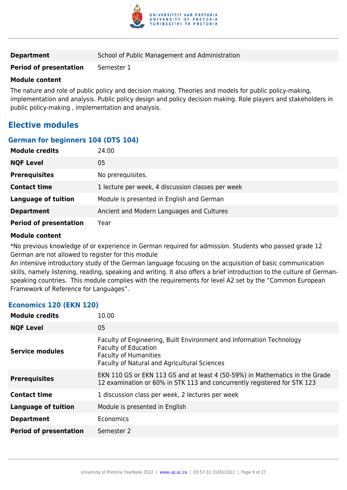

| <b>Department</b> | School of Public Management and Administration |
|-------------------|------------------------------------------------|
|-------------------|------------------------------------------------|

**Period of presentation** Semester 1

### **Module content**

The nature and role of public policy and decision making. Theories and models for public policy-making, implementation and analysis. Public policy design and policy decision making. Role players and stakeholders in public policy-making , implementation and analysis.

## **Elective modules**

## **German for beginners 104 (DTS 104)**

| <b>Module credits</b>         | 24.00                                             |
|-------------------------------|---------------------------------------------------|
| <b>NQF Level</b>              | 05                                                |
| <b>Prerequisites</b>          | No prerequisites.                                 |
| <b>Contact time</b>           | 1 lecture per week, 4 discussion classes per week |
| <b>Language of tuition</b>    | Module is presented in English and German         |
| <b>Department</b>             | Ancient and Modern Languages and Cultures         |
| <b>Period of presentation</b> | Year                                              |

#### **Module content**

\*No previous knowledge of or experience in German required for admission. Students who passed grade 12 German are not allowed to register for this module

An intensive introductory study of the German language focusing on the acquisition of basic communication skills, namely listening, reading, speaking and writing. It also offers a brief introduction to the culture of Germanspeaking countries. This module complies with the requirements for level A2 set by the "Common European Framework of Reference for Languages".

## **Economics 120 (EKN 120)**

| <b>Module credits</b>         | 10.00                                                                                                                                                                               |
|-------------------------------|-------------------------------------------------------------------------------------------------------------------------------------------------------------------------------------|
| <b>NQF Level</b>              | 05                                                                                                                                                                                  |
| <b>Service modules</b>        | Faculty of Engineering, Built Environment and Information Technology<br><b>Faculty of Education</b><br><b>Faculty of Humanities</b><br>Faculty of Natural and Agricultural Sciences |
| <b>Prerequisites</b>          | EKN 110 GS or EKN 113 GS and at least 4 (50-59%) in Mathematics in the Grade<br>12 examination or 60% in STK 113 and concurrently registered for STK 123                            |
| <b>Contact time</b>           | 1 discussion class per week, 2 lectures per week                                                                                                                                    |
| <b>Language of tuition</b>    | Module is presented in English                                                                                                                                                      |
| <b>Department</b>             | Economics                                                                                                                                                                           |
| <b>Period of presentation</b> | Semester 2                                                                                                                                                                          |
|                               |                                                                                                                                                                                     |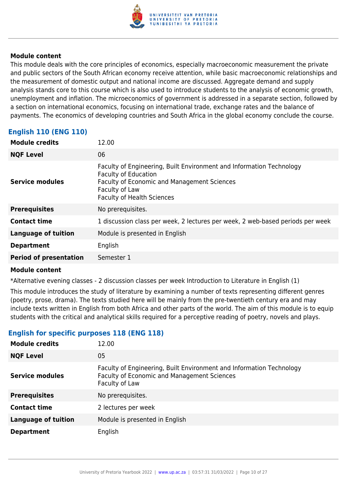

This module deals with the core principles of economics, especially macroeconomic measurement the private and public sectors of the South African economy receive attention, while basic macroeconomic relationships and the measurement of domestic output and national income are discussed. Aggregate demand and supply analysis stands core to this course which is also used to introduce students to the analysis of economic growth, unemployment and inflation. The microeconomics of government is addressed in a separate section, followed by a section on international economics, focusing on international trade, exchange rates and the balance of payments. The economics of developing countries and South Africa in the global economy conclude the course.

## **English 110 (ENG 110)**

| <b>Module credits</b>         | 12.00                                                                                                                                                                                                            |
|-------------------------------|------------------------------------------------------------------------------------------------------------------------------------------------------------------------------------------------------------------|
| <b>NQF Level</b>              | 06                                                                                                                                                                                                               |
| Service modules               | Faculty of Engineering, Built Environment and Information Technology<br><b>Faculty of Education</b><br><b>Faculty of Economic and Management Sciences</b><br>Faculty of Law<br><b>Faculty of Health Sciences</b> |
| <b>Prerequisites</b>          | No prerequisites.                                                                                                                                                                                                |
| <b>Contact time</b>           | 1 discussion class per week, 2 lectures per week, 2 web-based periods per week                                                                                                                                   |
| <b>Language of tuition</b>    | Module is presented in English                                                                                                                                                                                   |
| <b>Department</b>             | English                                                                                                                                                                                                          |
| <b>Period of presentation</b> | Semester 1                                                                                                                                                                                                       |

## **Module content**

\*Alternative evening classes - 2 discussion classes per week Introduction to Literature in English (1)

This module introduces the study of literature by examining a number of texts representing different genres (poetry, prose, drama). The texts studied here will be mainly from the pre-twentieth century era and may include texts written in English from both Africa and other parts of the world. The aim of this module is to equip students with the critical and analytical skills required for a perceptive reading of poetry, novels and plays.

## **English for specific purposes 118 (ENG 118)**

| <b>Module credits</b>      | 12.00                                                                                                                                 |
|----------------------------|---------------------------------------------------------------------------------------------------------------------------------------|
| <b>NQF Level</b>           | 05                                                                                                                                    |
| <b>Service modules</b>     | Faculty of Engineering, Built Environment and Information Technology<br>Faculty of Economic and Management Sciences<br>Faculty of Law |
| <b>Prerequisites</b>       | No prerequisites.                                                                                                                     |
| <b>Contact time</b>        | 2 lectures per week                                                                                                                   |
| <b>Language of tuition</b> | Module is presented in English                                                                                                        |
| <b>Department</b>          | English                                                                                                                               |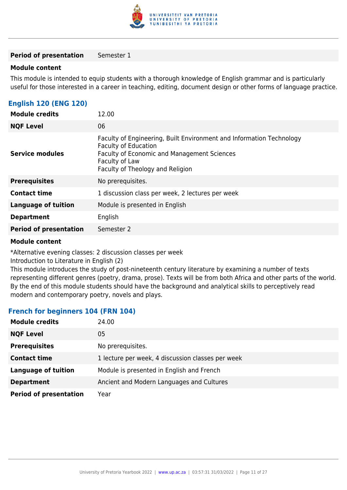

#### **Period of presentation** Semester 1

#### **Module content**

This module is intended to equip students with a thorough knowledge of English grammar and is particularly useful for those interested in a career in teaching, editing, document design or other forms of language practice.

## **English 120 (ENG 120)**

| <b>Module credits</b>         | 12.00                                                                                                                                                                                                    |
|-------------------------------|----------------------------------------------------------------------------------------------------------------------------------------------------------------------------------------------------------|
| <b>NQF Level</b>              | 06                                                                                                                                                                                                       |
| <b>Service modules</b>        | Faculty of Engineering, Built Environment and Information Technology<br><b>Faculty of Education</b><br>Faculty of Economic and Management Sciences<br>Faculty of Law<br>Faculty of Theology and Religion |
| <b>Prerequisites</b>          | No prerequisites.                                                                                                                                                                                        |
| <b>Contact time</b>           | 1 discussion class per week, 2 lectures per week                                                                                                                                                         |
| <b>Language of tuition</b>    | Module is presented in English                                                                                                                                                                           |
| <b>Department</b>             | English                                                                                                                                                                                                  |
| <b>Period of presentation</b> | Semester 2                                                                                                                                                                                               |

#### **Module content**

\*Alternative evening classes: 2 discussion classes per week

Introduction to Literature in English (2)

This module introduces the study of post-nineteenth century literature by examining a number of texts representing different genres (poetry, drama, prose). Texts will be from both Africa and other parts of the world. By the end of this module students should have the background and analytical skills to perceptively read modern and contemporary poetry, novels and plays.

## **French for beginners 104 (FRN 104)**

| <b>Module credits</b>         | 24.00                                             |
|-------------------------------|---------------------------------------------------|
| <b>NQF Level</b>              | 05                                                |
| <b>Prerequisites</b>          | No prerequisites.                                 |
| <b>Contact time</b>           | 1 lecture per week, 4 discussion classes per week |
| <b>Language of tuition</b>    | Module is presented in English and French         |
| <b>Department</b>             | Ancient and Modern Languages and Cultures         |
| <b>Period of presentation</b> | Year                                              |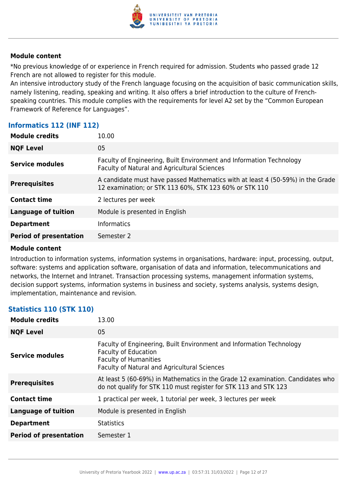

\*No previous knowledge of or experience in French required for admission. Students who passed grade 12 French are not allowed to register for this module.

An intensive introductory study of the French language focusing on the acquisition of basic communication skills, namely listening, reading, speaking and writing. It also offers a brief introduction to the culture of Frenchspeaking countries. This module complies with the requirements for level A2 set by the "Common European Framework of Reference for Languages".

## **Informatics 112 (INF 112)**

| <b>NQF Level</b><br>05<br>Faculty of Engineering, Built Environment and Information Technology<br>Service modules<br>Faculty of Natural and Agricultural Sciences<br>A candidate must have passed Mathematics with at least 4 (50-59%) in the Grade<br><b>Prerequisites</b> |
|-----------------------------------------------------------------------------------------------------------------------------------------------------------------------------------------------------------------------------------------------------------------------------|
|                                                                                                                                                                                                                                                                             |
|                                                                                                                                                                                                                                                                             |
| 12 examination; or STK 113 60%, STK 123 60% or STK 110                                                                                                                                                                                                                      |
| <b>Contact time</b><br>2 lectures per week                                                                                                                                                                                                                                  |
| <b>Language of tuition</b><br>Module is presented in English                                                                                                                                                                                                                |
| <b>Informatics</b><br><b>Department</b>                                                                                                                                                                                                                                     |
| <b>Period of presentation</b><br>Semester 2                                                                                                                                                                                                                                 |

## **Module content**

Introduction to information systems, information systems in organisations, hardware: input, processing, output, software: systems and application software, organisation of data and information, telecommunications and networks, the Internet and Intranet. Transaction processing systems, management information systems, decision support systems, information systems in business and society, systems analysis, systems design, implementation, maintenance and revision.

## **Statistics 110 (STK 110)**

| <b>Module credits</b>         | 13.00                                                                                                                                                                                      |
|-------------------------------|--------------------------------------------------------------------------------------------------------------------------------------------------------------------------------------------|
| <b>NQF Level</b>              | 05                                                                                                                                                                                         |
| Service modules               | Faculty of Engineering, Built Environment and Information Technology<br><b>Faculty of Education</b><br><b>Faculty of Humanities</b><br><b>Faculty of Natural and Agricultural Sciences</b> |
| <b>Prerequisites</b>          | At least 5 (60-69%) in Mathematics in the Grade 12 examination. Candidates who<br>do not qualify for STK 110 must register for STK 113 and STK 123                                         |
| <b>Contact time</b>           | 1 practical per week, 1 tutorial per week, 3 lectures per week                                                                                                                             |
| <b>Language of tuition</b>    | Module is presented in English                                                                                                                                                             |
| <b>Department</b>             | <b>Statistics</b>                                                                                                                                                                          |
| <b>Period of presentation</b> | Semester 1                                                                                                                                                                                 |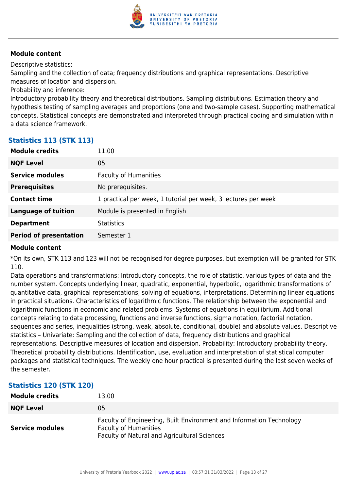

Descriptive statistics:

Sampling and the collection of data; frequency distributions and graphical representations. Descriptive measures of location and dispersion.

Probability and inference:

Introductory probability theory and theoretical distributions. Sampling distributions. Estimation theory and hypothesis testing of sampling averages and proportions (one and two-sample cases). Supporting mathematical concepts. Statistical concepts are demonstrated and interpreted through practical coding and simulation within a data science framework.

| <b>Module credits</b>         | 11.00                                                          |
|-------------------------------|----------------------------------------------------------------|
| <b>NQF Level</b>              | 05                                                             |
| <b>Service modules</b>        | <b>Faculty of Humanities</b>                                   |
| <b>Prerequisites</b>          | No prerequisites.                                              |
| <b>Contact time</b>           | 1 practical per week, 1 tutorial per week, 3 lectures per week |
| <b>Language of tuition</b>    | Module is presented in English                                 |
| <b>Department</b>             | <b>Statistics</b>                                              |
| <b>Period of presentation</b> | Semester 1                                                     |
|                               |                                                                |

## **Statistics 113 (STK 113)**

## **Module content**

\*On its own, STK 113 and 123 will not be recognised for degree purposes, but exemption will be granted for STK 110.

Data operations and transformations: Introductory concepts, the role of statistic, various types of data and the number system. Concepts underlying linear, quadratic, exponential, hyperbolic, logarithmic transformations of quantitative data, graphical representations, solving of equations, interpretations. Determining linear equations in practical situations. Characteristics of logarithmic functions. The relationship between the exponential and logarithmic functions in economic and related problems. Systems of equations in equilibrium. Additional concepts relating to data processing, functions and inverse functions, sigma notation, factorial notation, sequences and series, inequalities (strong, weak, absolute, conditional, double) and absolute values. Descriptive statistics – Univariate: Sampling and the collection of data, frequency distributions and graphical representations. Descriptive measures of location and dispersion. Probability: Introductory probability theory. Theoretical probability distributions. Identification, use, evaluation and interpretation of statistical computer packages and statistical techniques. The weekly one hour practical is presented during the last seven weeks of the semester.

## **Statistics 120 (STK 120)**

| <b>Module credits</b>  | 13.00                                                                                                                                                       |
|------------------------|-------------------------------------------------------------------------------------------------------------------------------------------------------------|
| <b>NQF Level</b>       | 05                                                                                                                                                          |
| <b>Service modules</b> | Faculty of Engineering, Built Environment and Information Technology<br><b>Faculty of Humanities</b><br><b>Faculty of Natural and Agricultural Sciences</b> |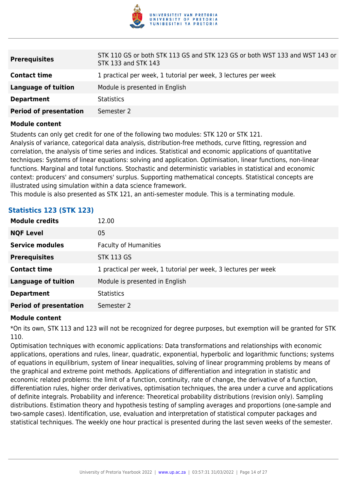

| <b>Prerequisites</b>          | STK 110 GS or both STK 113 GS and STK 123 GS or both WST 133 and WST 143 or<br>STK 133 and STK 143 |
|-------------------------------|----------------------------------------------------------------------------------------------------|
| <b>Contact time</b>           | 1 practical per week, 1 tutorial per week, 3 lectures per week                                     |
| Language of tuition           | Module is presented in English                                                                     |
| <b>Department</b>             | <b>Statistics</b>                                                                                  |
| <b>Period of presentation</b> | Semester 2                                                                                         |

Students can only get credit for one of the following two modules: STK 120 or STK 121.

Analysis of variance, categorical data analysis, distribution-free methods, curve fitting, regression and correlation, the analysis of time series and indices. Statistical and economic applications of quantitative techniques: Systems of linear equations: solving and application. Optimisation, linear functions, non-linear functions. Marginal and total functions. Stochastic and deterministic variables in statistical and economic context: producers' and consumers' surplus. Supporting mathematical concepts. Statistical concepts are illustrated using simulation within a data science framework.

This module is also presented as STK 121, an anti-semester module. This is a terminating module.

| <b>Module credits</b>         | 12.00                                                          |
|-------------------------------|----------------------------------------------------------------|
|                               |                                                                |
| <b>NQF Level</b>              | 05                                                             |
| <b>Service modules</b>        | <b>Faculty of Humanities</b>                                   |
| <b>Prerequisites</b>          | <b>STK 113 GS</b>                                              |
| <b>Contact time</b>           | 1 practical per week, 1 tutorial per week, 3 lectures per week |
| <b>Language of tuition</b>    | Module is presented in English                                 |
| <b>Department</b>             | <b>Statistics</b>                                              |
| <b>Period of presentation</b> | Semester 2                                                     |

## **Statistics 123 (STK 123)**

#### **Module content**

\*On its own, STK 113 and 123 will not be recognized for degree purposes, but exemption will be granted for STK 110.

Optimisation techniques with economic applications: Data transformations and relationships with economic applications, operations and rules, linear, quadratic, exponential, hyperbolic and logarithmic functions; systems of equations in equilibrium, system of linear inequalities, solving of linear programming problems by means of the graphical and extreme point methods. Applications of differentiation and integration in statistic and economic related problems: the limit of a function, continuity, rate of change, the derivative of a function, differentiation rules, higher order derivatives, optimisation techniques, the area under a curve and applications of definite integrals. Probability and inference: Theoretical probability distributions (revision only). Sampling distributions. Estimation theory and hypothesis testing of sampling averages and proportions (one-sample and two-sample cases). Identification, use, evaluation and interpretation of statistical computer packages and statistical techniques. The weekly one hour practical is presented during the last seven weeks of the semester.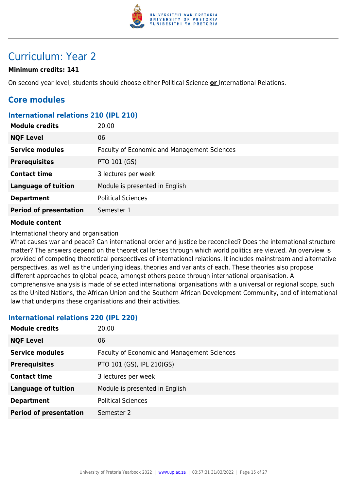

## Curriculum: Year 2

## **Minimum credits: 141**

On second year level, students should choose either Political Science **or** International Relations.

## **Core modules**

## **International relations 210 (IPL 210)**

| <b>Module credits</b>         | 20.00                                       |
|-------------------------------|---------------------------------------------|
| <b>NQF Level</b>              | 06                                          |
| <b>Service modules</b>        | Faculty of Economic and Management Sciences |
| <b>Prerequisites</b>          | PTO 101 (GS)                                |
| <b>Contact time</b>           | 3 lectures per week                         |
| <b>Language of tuition</b>    | Module is presented in English              |
| <b>Department</b>             | <b>Political Sciences</b>                   |
| <b>Period of presentation</b> | Semester 1                                  |

#### **Module content**

International theory and organisation

What causes war and peace? Can international order and justice be reconciled? Does the international structure matter? The answers depend on the theoretical lenses through which world politics are viewed. An overview is provided of competing theoretical perspectives of international relations. It includes mainstream and alternative perspectives, as well as the underlying ideas, theories and variants of each. These theories also propose different approaches to global peace, amongst others peace through international organisation. A comprehensive analysis is made of selected international organisations with a universal or regional scope, such as the United Nations, the African Union and the Southern African Development Community, and of international law that underpins these organisations and their activities.

## **International relations 220 (IPL 220)**

| <b>Module credits</b>         | 20.00                                              |
|-------------------------------|----------------------------------------------------|
| <b>NQF Level</b>              | 06                                                 |
| <b>Service modules</b>        | <b>Faculty of Economic and Management Sciences</b> |
| <b>Prerequisites</b>          | PTO 101 (GS), IPL 210(GS)                          |
| <b>Contact time</b>           | 3 lectures per week                                |
| <b>Language of tuition</b>    | Module is presented in English                     |
| <b>Department</b>             | <b>Political Sciences</b>                          |
| <b>Period of presentation</b> | Semester 2                                         |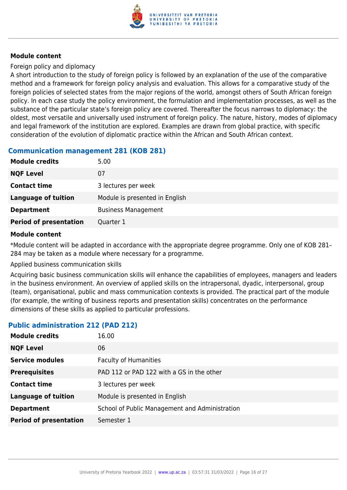

Foreign policy and diplomacy

A short introduction to the study of foreign policy is followed by an explanation of the use of the comparative method and a framework for foreign policy analysis and evaluation. This allows for a comparative study of the foreign policies of selected states from the major regions of the world, amongst others of South African foreign policy. In each case study the policy environment, the formulation and implementation processes, as well as the substance of the particular state's foreign policy are covered. Thereafter the focus narrows to diplomacy: the oldest, most versatile and universally used instrument of foreign policy. The nature, history, modes of diplomacy and legal framework of the institution are explored. Examples are drawn from global practice, with specific consideration of the evolution of diplomatic practice within the African and South African context.

## **Communication management 281 (KOB 281)**

| <b>Module credits</b>         | 5.00                           |
|-------------------------------|--------------------------------|
| <b>NQF Level</b>              | 07                             |
| <b>Contact time</b>           | 3 lectures per week            |
| <b>Language of tuition</b>    | Module is presented in English |
| <b>Department</b>             | <b>Business Management</b>     |
| <b>Period of presentation</b> | Quarter 1                      |
|                               |                                |

## **Module content**

\*Module content will be adapted in accordance with the appropriate degree programme. Only one of KOB 281– 284 may be taken as a module where necessary for a programme.

Applied business communication skills

Acquiring basic business communication skills will enhance the capabilities of employees, managers and leaders in the business environment. An overview of applied skills on the intrapersonal, dyadic, interpersonal, group (team), organisational, public and mass communication contexts is provided. The practical part of the module (for example, the writing of business reports and presentation skills) concentrates on the performance dimensions of these skills as applied to particular professions.

## **Public administration 212 (PAD 212)**

| <b>Module credits</b>         | 16.00                                          |
|-------------------------------|------------------------------------------------|
| <b>NQF Level</b>              | 06                                             |
| <b>Service modules</b>        | <b>Faculty of Humanities</b>                   |
| <b>Prerequisites</b>          | PAD 112 or PAD 122 with a GS in the other      |
| <b>Contact time</b>           | 3 lectures per week                            |
| <b>Language of tuition</b>    | Module is presented in English                 |
| <b>Department</b>             | School of Public Management and Administration |
| <b>Period of presentation</b> | Semester 1                                     |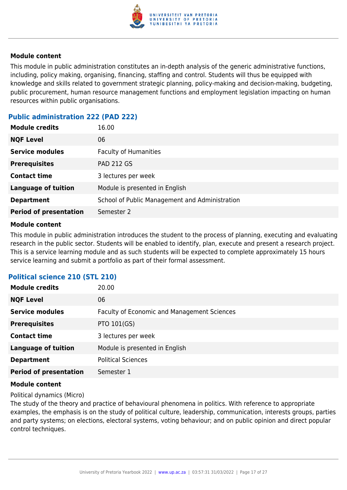

This module in public administration constitutes an in-depth analysis of the generic administrative functions, including, policy making, organising, financing, staffing and control. Students will thus be equipped with knowledge and skills related to government strategic planning, policy-making and decision-making, budgeting, public procurement, human resource management functions and employment legislation impacting on human resources within public organisations.

## **Public administration 222 (PAD 222)**

| <b>Module credits</b>         | 16.00                                          |
|-------------------------------|------------------------------------------------|
| <b>NQF Level</b>              | 06                                             |
| <b>Service modules</b>        | <b>Faculty of Humanities</b>                   |
| <b>Prerequisites</b>          | <b>PAD 212 GS</b>                              |
| <b>Contact time</b>           | 3 lectures per week                            |
| <b>Language of tuition</b>    | Module is presented in English                 |
| <b>Department</b>             | School of Public Management and Administration |
| <b>Period of presentation</b> | Semester 2                                     |

#### **Module content**

This module in public administration introduces the student to the process of planning, executing and evaluating research in the public sector. Students will be enabled to identify, plan, execute and present a research project. This is a service learning module and as such students will be expected to complete approximately 15 hours service learning and submit a portfolio as part of their formal assessment.

| <b>Module credits</b>         | 20.00                                              |
|-------------------------------|----------------------------------------------------|
| <b>NQF Level</b>              | 06                                                 |
| <b>Service modules</b>        | <b>Faculty of Economic and Management Sciences</b> |
| <b>Prerequisites</b>          | PTO 101(GS)                                        |
| <b>Contact time</b>           | 3 lectures per week                                |
| <b>Language of tuition</b>    | Module is presented in English                     |
| <b>Department</b>             | <b>Political Sciences</b>                          |
| <b>Period of presentation</b> | Semester 1                                         |
|                               |                                                    |

## **Political science 210 (STL 210)**

#### **Module content**

Political dynamics (Micro)

The study of the theory and practice of behavioural phenomena in politics. With reference to appropriate examples, the emphasis is on the study of political culture, leadership, communication, interests groups, parties and party systems; on elections, electoral systems, voting behaviour; and on public opinion and direct popular control techniques.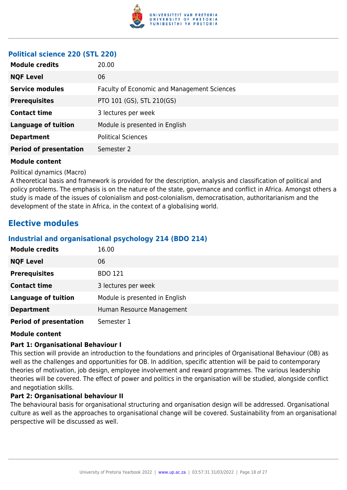

## **Political science 220 (STL 220)**

| <b>Module credits</b>         | 20.00                                       |
|-------------------------------|---------------------------------------------|
| <b>NQF Level</b>              | 06                                          |
| <b>Service modules</b>        | Faculty of Economic and Management Sciences |
| <b>Prerequisites</b>          | PTO 101 (GS), STL 210(GS)                   |
| <b>Contact time</b>           | 3 lectures per week                         |
| <b>Language of tuition</b>    | Module is presented in English              |
| <b>Department</b>             | <b>Political Sciences</b>                   |
| <b>Period of presentation</b> | Semester 2                                  |
|                               |                                             |

#### **Module content**

Political dynamics (Macro)

A theoretical basis and framework is provided for the description, analysis and classification of political and policy problems. The emphasis is on the nature of the state, governance and conflict in Africa. Amongst others a study is made of the issues of colonialism and post-colonialism, democratisation, authoritarianism and the development of the state in Africa, in the context of a globalising world.

## **Elective modules**

## **Industrial and organisational psychology 214 (BDO 214)**

| <b>Module credits</b>         | 16.00                          |
|-------------------------------|--------------------------------|
| <b>NQF Level</b>              | 06                             |
| <b>Prerequisites</b>          | <b>BDO 121</b>                 |
| <b>Contact time</b>           | 3 lectures per week            |
| <b>Language of tuition</b>    | Module is presented in English |
| <b>Department</b>             | Human Resource Management      |
| <b>Period of presentation</b> | Semester 1                     |

#### **Module content**

## **Part 1: Organisational Behaviour I**

This section will provide an introduction to the foundations and principles of Organisational Behaviour (OB) as well as the challenges and opportunities for OB. In addition, specific attention will be paid to contemporary theories of motivation, job design, employee involvement and reward programmes. The various leadership theories will be covered. The effect of power and politics in the organisation will be studied, alongside conflict and negotiation skills.

#### **Part 2: Organisational behaviour II**

The behavioural basis for organisational structuring and organisation design will be addressed. Organisational culture as well as the approaches to organisational change will be covered. Sustainability from an organisational perspective will be discussed as well.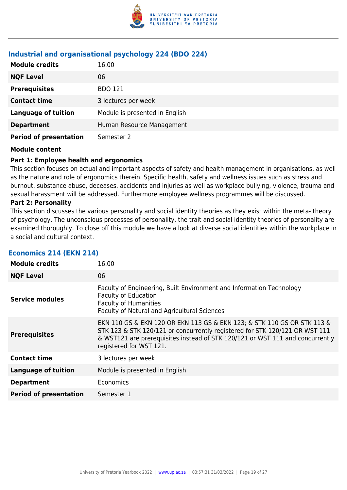

## **Industrial and organisational psychology 224 (BDO 224)**

| <b>Module credits</b>         | 16.00                          |
|-------------------------------|--------------------------------|
| <b>NQF Level</b>              | 06                             |
| <b>Prerequisites</b>          | <b>BDO 121</b>                 |
| <b>Contact time</b>           | 3 lectures per week            |
| <b>Language of tuition</b>    | Module is presented in English |
| <b>Department</b>             | Human Resource Management      |
| <b>Period of presentation</b> | Semester 2                     |

#### **Module content**

#### **Part 1: Employee health and ergonomics**

This section focuses on actual and important aspects of safety and health management in organisations, as well as the nature and role of ergonomics therein. Specific health, safety and wellness issues such as stress and burnout, substance abuse, deceases, accidents and injuries as well as workplace bullying, violence, trauma and sexual harassment will be addressed. Furthermore employee wellness programmes will be discussed.

#### **Part 2: Personality**

This section discusses the various personality and social identity theories as they exist within the meta- theory of psychology. The unconscious processes of personality, the trait and social identity theories of personality are examined thoroughly. To close off this module we have a look at diverse social identities within the workplace in a social and cultural context.

| <b>Module credits</b>         | 16.00                                                                                                                                                                                                                                                              |
|-------------------------------|--------------------------------------------------------------------------------------------------------------------------------------------------------------------------------------------------------------------------------------------------------------------|
| <b>NQF Level</b>              | 06                                                                                                                                                                                                                                                                 |
| <b>Service modules</b>        | Faculty of Engineering, Built Environment and Information Technology<br><b>Faculty of Education</b><br><b>Faculty of Humanities</b><br>Faculty of Natural and Agricultural Sciences                                                                                |
| <b>Prerequisites</b>          | EKN 110 GS & EKN 120 OR EKN 113 GS & EKN 123; & STK 110 GS OR STK 113 &<br>STK 123 & STK 120/121 or concurrently registered for STK 120/121 OR WST 111<br>& WST121 are prerequisites instead of STK 120/121 or WST 111 and concurrently<br>registered for WST 121. |
| <b>Contact time</b>           | 3 lectures per week                                                                                                                                                                                                                                                |
| <b>Language of tuition</b>    | Module is presented in English                                                                                                                                                                                                                                     |
| <b>Department</b>             | Economics                                                                                                                                                                                                                                                          |
| <b>Period of presentation</b> | Semester 1                                                                                                                                                                                                                                                         |

#### **Economics 214 (EKN 214)**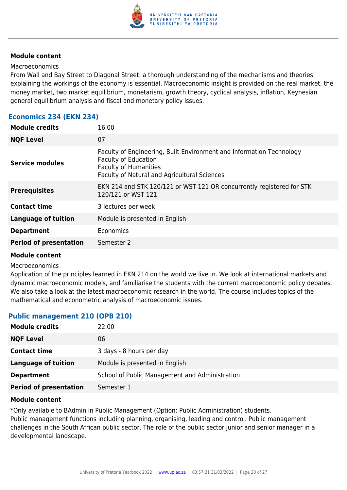

#### Macroeconomics

From Wall and Bay Street to Diagonal Street: a thorough understanding of the mechanisms and theories explaining the workings of the economy is essential. Macroeconomic insight is provided on the real market, the money market, two market equilibrium, monetarism, growth theory, cyclical analysis, inflation, Keynesian general equilibrium analysis and fiscal and monetary policy issues.

## **Economics 234 (EKN 234)**

| <b>Module credits</b>         | 16.00                                                                                                                                                                               |
|-------------------------------|-------------------------------------------------------------------------------------------------------------------------------------------------------------------------------------|
| <b>NQF Level</b>              | 07                                                                                                                                                                                  |
| <b>Service modules</b>        | Faculty of Engineering, Built Environment and Information Technology<br><b>Faculty of Education</b><br><b>Faculty of Humanities</b><br>Faculty of Natural and Agricultural Sciences |
| <b>Prerequisites</b>          | EKN 214 and STK 120/121 or WST 121 OR concurrently registered for STK<br>120/121 or WST 121.                                                                                        |
| <b>Contact time</b>           | 3 lectures per week                                                                                                                                                                 |
| <b>Language of tuition</b>    | Module is presented in English                                                                                                                                                      |
| <b>Department</b>             | <b>Economics</b>                                                                                                                                                                    |
| <b>Period of presentation</b> | Semester 2                                                                                                                                                                          |
|                               |                                                                                                                                                                                     |

#### **Module content**

#### Macroeconomics

Application of the principles learned in EKN 214 on the world we live in. We look at international markets and dynamic macroeconomic models, and familiarise the students with the current macroeconomic policy debates. We also take a look at the latest macroeconomic research in the world. The course includes topics of the mathematical and econometric analysis of macroeconomic issues.

## **Public management 210 (OPB 210)**

| <b>Module credits</b>         | 22.00                                          |
|-------------------------------|------------------------------------------------|
| <b>NQF Level</b>              | 06                                             |
| <b>Contact time</b>           | 3 days - 8 hours per day                       |
| Language of tuition           | Module is presented in English                 |
| <b>Department</b>             | School of Public Management and Administration |
| <b>Period of presentation</b> | Semester 1                                     |

#### **Module content**

\*Only available to BAdmin in Public Management (Option: Public Administration) students. Public management functions including planning, organising, leading and control. Public management challenges in the South African public sector. The role of the public sector junior and senior manager in a developmental landscape.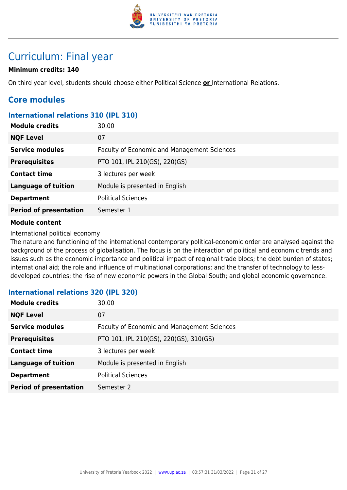

## Curriculum: Final year

## **Minimum credits: 140**

On third year level, students should choose either Political Science **or** International Relations.

## **Core modules**

## **International relations 310 (IPL 310)**

| <b>NQF Level</b><br>07                                                       |  |
|------------------------------------------------------------------------------|--|
| <b>Service modules</b><br><b>Faculty of Economic and Management Sciences</b> |  |
| <b>Prerequisites</b><br>PTO 101, IPL 210(GS), 220(GS)                        |  |
| <b>Contact time</b><br>3 lectures per week                                   |  |
| <b>Language of tuition</b><br>Module is presented in English                 |  |
| <b>Political Sciences</b><br><b>Department</b>                               |  |
| <b>Period of presentation</b><br>Semester 1                                  |  |

#### **Module content**

International political economy

The nature and functioning of the international contemporary political-economic order are analysed against the background of the process of globalisation. The focus is on the interaction of political and economic trends and issues such as the economic importance and political impact of regional trade blocs; the debt burden of states; international aid; the role and influence of multinational corporations; and the transfer of technology to lessdeveloped countries; the rise of new economic powers in the Global South; and global economic governance.

## **International relations 320 (IPL 320)**

| <b>Module credits</b>         | 30.00                                              |
|-------------------------------|----------------------------------------------------|
| <b>NQF Level</b>              | 07                                                 |
| <b>Service modules</b>        | <b>Faculty of Economic and Management Sciences</b> |
| <b>Prerequisites</b>          | PTO 101, IPL 210(GS), 220(GS), 310(GS)             |
| <b>Contact time</b>           | 3 lectures per week                                |
| <b>Language of tuition</b>    | Module is presented in English                     |
| <b>Department</b>             | <b>Political Sciences</b>                          |
| <b>Period of presentation</b> | Semester 2                                         |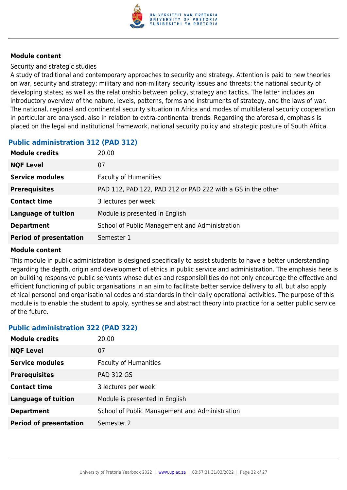

Security and strategic studies

A study of traditional and contemporary approaches to security and strategy. Attention is paid to new theories on war, security and strategy; military and non-military security issues and threats; the national security of developing states; as well as the relationship between policy, strategy and tactics. The latter includes an introductory overview of the nature, levels, patterns, forms and instruments of strategy, and the laws of war. The national, regional and continental security situation in Africa and modes of multilateral security cooperation in particular are analysed, also in relation to extra-continental trends. Regarding the aforesaid, emphasis is placed on the legal and institutional framework, national security policy and strategic posture of South Africa.

## **Public administration 312 (PAD 312)**

| <b>Module credits</b>         | 20.00                                                       |
|-------------------------------|-------------------------------------------------------------|
| <b>NQF Level</b>              | 07                                                          |
| <b>Service modules</b>        | <b>Faculty of Humanities</b>                                |
| <b>Prerequisites</b>          | PAD 112, PAD 122, PAD 212 or PAD 222 with a GS in the other |
| <b>Contact time</b>           | 3 lectures per week                                         |
| <b>Language of tuition</b>    | Module is presented in English                              |
| <b>Department</b>             | School of Public Management and Administration              |
| <b>Period of presentation</b> | Semester 1                                                  |

#### **Module content**

This module in public administration is designed specifically to assist students to have a better understanding regarding the depth, origin and development of ethics in public service and administration. The emphasis here is on building responsive public servants whose duties and responsibilities do not only encourage the effective and efficient functioning of public organisations in an aim to facilitate better service delivery to all, but also apply ethical personal and organisational codes and standards in their daily operational activities. The purpose of this module is to enable the student to apply, synthesise and abstract theory into practice for a better public service of the future.

## **Public administration 322 (PAD 322)**

| <b>Module credits</b>         | 20.00                                          |
|-------------------------------|------------------------------------------------|
| <b>NQF Level</b>              | 07                                             |
| <b>Service modules</b>        | <b>Faculty of Humanities</b>                   |
| <b>Prerequisites</b>          | <b>PAD 312 GS</b>                              |
| <b>Contact time</b>           | 3 lectures per week                            |
| <b>Language of tuition</b>    | Module is presented in English                 |
| <b>Department</b>             | School of Public Management and Administration |
| <b>Period of presentation</b> | Semester 2                                     |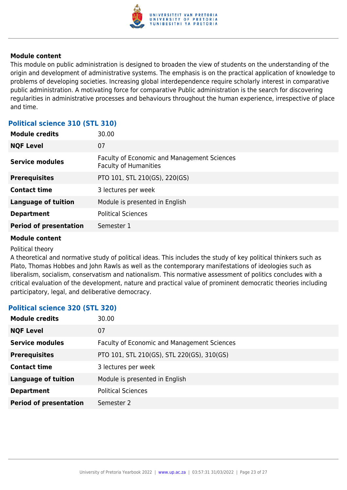

This module on public administration is designed to broaden the view of students on the understanding of the origin and development of administrative systems. The emphasis is on the practical application of knowledge to problems of developing societies. Increasing global interdependence require scholarly interest in comparative public administration. A motivating force for comparative Public administration is the search for discovering regularities in administrative processes and behaviours throughout the human experience, irrespective of place and time.

## **Political science 310 (STL 310)**

| <b>Module credits</b>         | 30.00                                                                              |
|-------------------------------|------------------------------------------------------------------------------------|
| <b>NQF Level</b>              | 07                                                                                 |
| <b>Service modules</b>        | <b>Faculty of Economic and Management Sciences</b><br><b>Faculty of Humanities</b> |
| <b>Prerequisites</b>          | PTO 101, STL 210(GS), 220(GS)                                                      |
| <b>Contact time</b>           | 3 lectures per week                                                                |
| <b>Language of tuition</b>    | Module is presented in English                                                     |
| <b>Department</b>             | <b>Political Sciences</b>                                                          |
| <b>Period of presentation</b> | Semester 1                                                                         |

#### **Module content**

#### Political theory

A theoretical and normative study of political ideas. This includes the study of key political thinkers such as Plato, Thomas Hobbes and John Rawls as well as the contemporary manifestations of ideologies such as liberalism, socialism, conservatism and nationalism. This normative assessment of politics concludes with a critical evaluation of the development, nature and practical value of prominent democratic theories including participatory, legal, and deliberative democracy.

## **Political science 320 (STL 320)**

| <b>Module credits</b>         | 30.00                                       |
|-------------------------------|---------------------------------------------|
| <b>NQF Level</b>              | 07                                          |
| <b>Service modules</b>        | Faculty of Economic and Management Sciences |
| <b>Prerequisites</b>          | PTO 101, STL 210(GS), STL 220(GS), 310(GS)  |
| <b>Contact time</b>           | 3 lectures per week                         |
| <b>Language of tuition</b>    | Module is presented in English              |
| <b>Department</b>             | <b>Political Sciences</b>                   |
| <b>Period of presentation</b> | Semester 2                                  |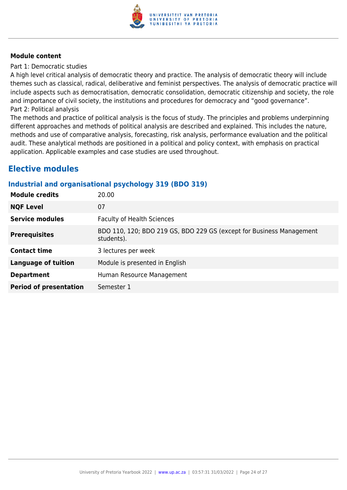

Part 1: Democratic studies

A high level critical analysis of democratic theory and practice. The analysis of democratic theory will include themes such as classical, radical, deliberative and feminist perspectives. The analysis of democratic practice will include aspects such as democratisation, democratic consolidation, democratic citizenship and society, the role and importance of civil society, the institutions and procedures for democracy and "good governance". Part 2: Political analysis

The methods and practice of political analysis is the focus of study. The principles and problems underpinning different approaches and methods of political analysis are described and explained. This includes the nature, methods and use of comparative analysis, forecasting, risk analysis, performance evaluation and the political audit. These analytical methods are positioned in a political and policy context, with emphasis on practical application. Applicable examples and case studies are used throughout.

## **Elective modules**

## **Industrial and organisational psychology 319 (BDO 319)**

| <b>Module credits</b>         | 20.00                                                                              |
|-------------------------------|------------------------------------------------------------------------------------|
| <b>NQF Level</b>              | 07                                                                                 |
| <b>Service modules</b>        | <b>Faculty of Health Sciences</b>                                                  |
| <b>Prerequisites</b>          | BDO 110, 120; BDO 219 GS, BDO 229 GS (except for Business Management<br>students). |
| <b>Contact time</b>           | 3 lectures per week                                                                |
| <b>Language of tuition</b>    | Module is presented in English                                                     |
| <b>Department</b>             | Human Resource Management                                                          |
| <b>Period of presentation</b> | Semester 1                                                                         |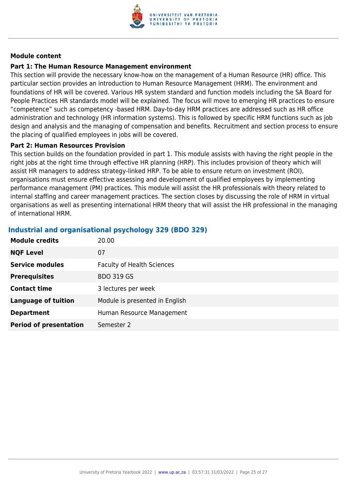

### **Part 1: The Human Resource Management environment**

This section will provide the necessary know-how on the management of a Human Resource (HR) office. This particular section provides an introduction to Human Resource Management (HRM). The environment and foundations of HR will be covered. Various HR system standard and function models including the SA Board for People Practices HR standards model will be explained. The focus will move to emerging HR practices to ensure "competence" such as competency -based HRM. Day-to-day HRM practices are addressed such as HR office administration and technology (HR information systems). This is followed by specific HRM functions such as job design and analysis and the managing of compensation and benefits. Recruitment and section process to ensure the placing of qualified employees in jobs will be covered.

#### **Part 2: Human Resources Provision**

This section builds on the foundation provided in part 1. This module assists with having the right people in the right jobs at the right time through effective HR planning (HRP). This includes provision of theory which will assist HR managers to address strategy-linked HRP. To be able to ensure return on investment (ROI), organisations must ensure effective assessing and development of qualified employees by implementing performance management (PM) practices. This module will assist the HR professionals with theory related to internal staffing and career management practices. The section closes by discussing the role of HRM in virtual organisations as well as presenting international HRM theory that will assist the HR professional in the managing of international HRM.

| <b>Module credits</b>         | 20.00                             |
|-------------------------------|-----------------------------------|
| <b>NQF Level</b>              | 07                                |
| <b>Service modules</b>        | <b>Faculty of Health Sciences</b> |
| <b>Prerequisites</b>          | <b>BDO 319 GS</b>                 |
| <b>Contact time</b>           | 3 lectures per week               |
| <b>Language of tuition</b>    | Module is presented in English    |
| <b>Department</b>             | Human Resource Management         |
| <b>Period of presentation</b> | Semester 2                        |

## **Industrial and organisational psychology 329 (BDO 329)**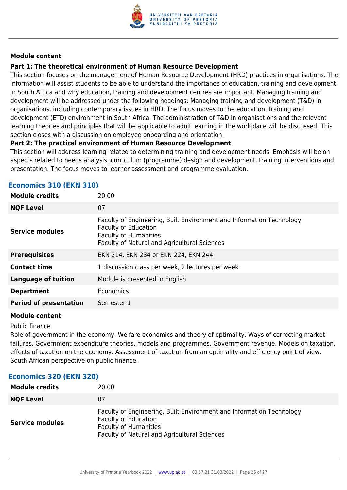

## **Part 1: The theoretical environment of Human Resource Development**

This section focuses on the management of Human Resource Development (HRD) practices in organisations. The information will assist students to be able to understand the importance of education, training and development in South Africa and why education, training and development centres are important. Managing training and development will be addressed under the following headings: Managing training and development (T&D) in organisations, including contemporary issues in HRD. The focus moves to the education, training and development (ETD) environment in South Africa. The administration of T&D in organisations and the relevant learning theories and principles that will be applicable to adult learning in the workplace will be discussed. This section closes with a discussion on employee onboarding and orientation.

## **Part 2: The practical environment of Human Resource Development**

This section will address learning related to determining training and development needs. Emphasis will be on aspects related to needs analysis, curriculum (programme) design and development, training interventions and presentation. The focus moves to learner assessment and programme evaluation.

## **Economics 310 (EKN 310)**

| <b>Module credits</b><br>20.00                                                                                                                                                                                |  |
|---------------------------------------------------------------------------------------------------------------------------------------------------------------------------------------------------------------|--|
| 07<br><b>NQF Level</b>                                                                                                                                                                                        |  |
| Faculty of Engineering, Built Environment and Information Technology<br><b>Faculty of Education</b><br><b>Service modules</b><br><b>Faculty of Humanities</b><br>Faculty of Natural and Agricultural Sciences |  |
| <b>Prerequisites</b><br>EKN 214, EKN 234 or EKN 224, EKN 244                                                                                                                                                  |  |
| <b>Contact time</b><br>1 discussion class per week, 2 lectures per week                                                                                                                                       |  |
| <b>Language of tuition</b><br>Module is presented in English                                                                                                                                                  |  |
| Economics<br><b>Department</b>                                                                                                                                                                                |  |
| <b>Period of presentation</b><br>Semester 1                                                                                                                                                                   |  |

#### **Module content**

Public finance

Role of government in the economy. Welfare economics and theory of optimality. Ways of correcting market failures. Government expenditure theories, models and programmes. Government revenue. Models on taxation, effects of taxation on the economy. Assessment of taxation from an optimality and efficiency point of view. South African perspective on public finance.

## **Economics 320 (EKN 320)**

| <b>Module credits</b>  | 20.00                                                                                                                                                                                      |
|------------------------|--------------------------------------------------------------------------------------------------------------------------------------------------------------------------------------------|
| <b>NQF Level</b>       | 07                                                                                                                                                                                         |
| <b>Service modules</b> | Faculty of Engineering, Built Environment and Information Technology<br><b>Faculty of Education</b><br><b>Faculty of Humanities</b><br><b>Faculty of Natural and Agricultural Sciences</b> |